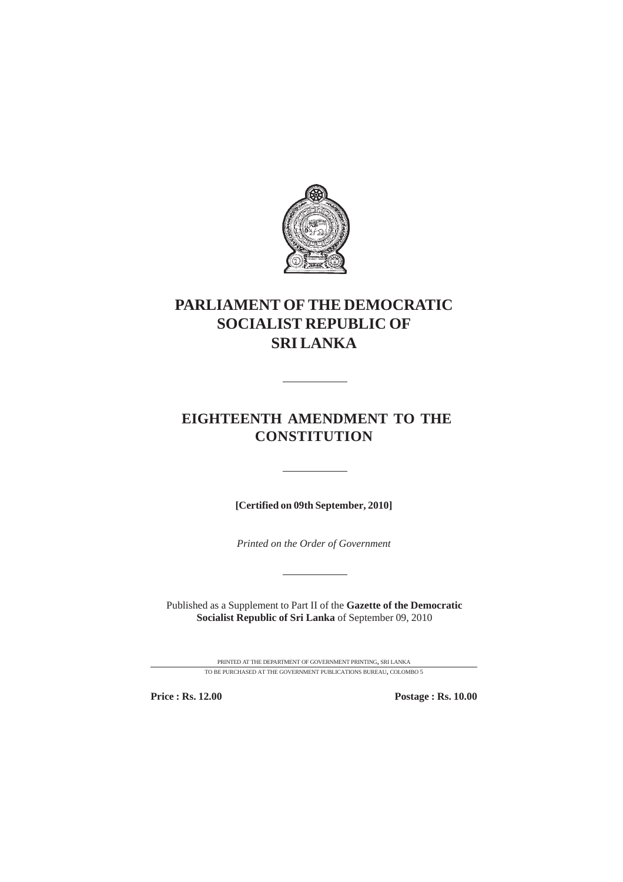

# **PARLIAMENT OF THE DEMOCRATIC SOCIALIST REPUBLIC OF SRI LANKA**

# **EIGHTEENTH AMENDMENT TO THE CONSTITUTION**

**[Certified on 09th September, 2010]**

*Printed on the Order of Government*

Published as a Supplement to Part II of the **Gazette of the Democratic Socialist Republic of Sri Lanka** of September 09, 2010

> PRINTED AT THE DEPARTMENT OF GOVERNMENT PRINTING, SRI LANKA TO BE PURCHASED AT THE GOVERNMENT PUBLICATIONS BUREAU, COLOMBO 5

**Price : Rs. 12.00 Postage : Rs. 10.00**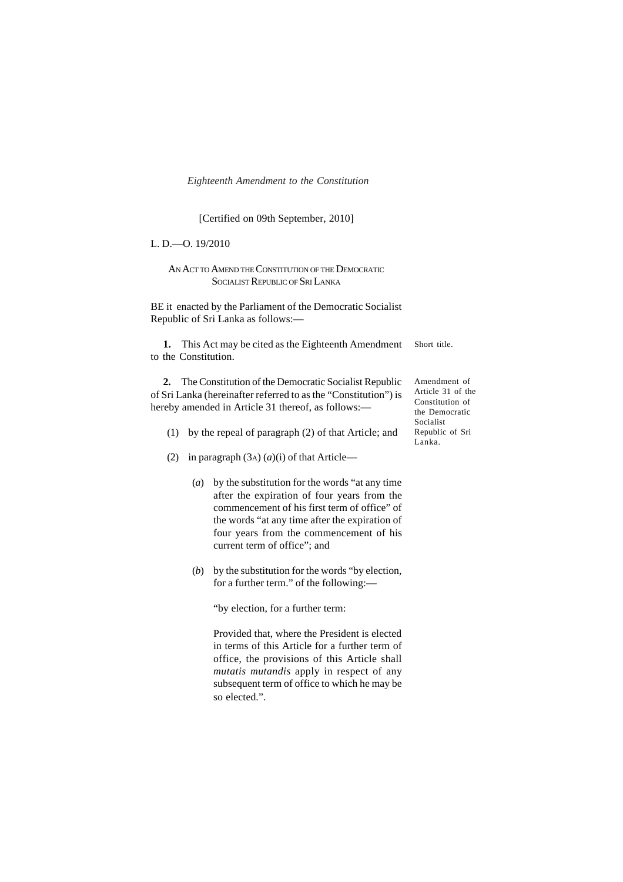### [Certified on 09th September, 2010]

L. D.—O. 19/2010

AN ACT TO AMEND THE CONSTITUTION OF THE DEMOCRATIC SOCIALIST REPUBLIC OF SRI LANKA

BE it enacted by the Parliament of the Democratic Socialist Republic of Sri Lanka as follows:—

Short title. **1.** This Act may be cited as the Eighteenth Amendment to the Constitution.

**2.** The Constitution of the Democratic Socialist Republic of Sri Lanka (hereinafter referred to as the "Constitution") is hereby amended in Article 31 thereof, as follows:—

- (1) by the repeal of paragraph (2) of that Article; and
- (2) in paragraph  $(3A)$   $(a)(i)$  of that Article—
	- (*a*) by the substitution for the words "at any time after the expiration of four years from the commencement of his first term of office" of the words "at any time after the expiration of four years from the commencement of his current term of office"; and
	- (*b*) by the substitution for the words "by election, for a further term." of the following:—

"by election, for a further term:

Provided that, where the President is elected in terms of this Article for a further term of office, the provisions of this Article shall *mutatis mutandis* apply in respect of any subsequent term of office to which he may be so elected.".

Amendment of Article 31 of the Constitution of the Democratic Socialist Republic of Sri Lanka.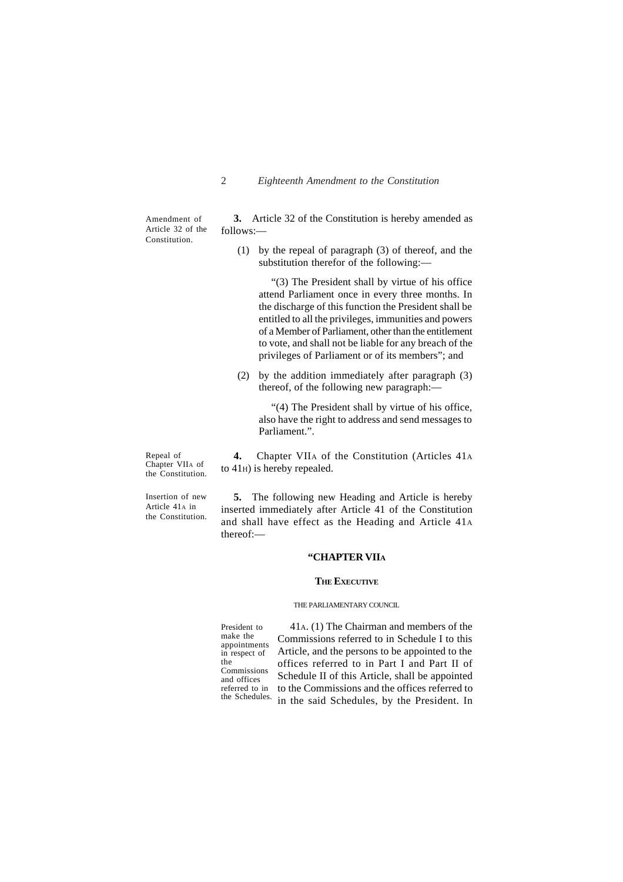Amendment of Article 32 of the Constitution.

**3.** Article 32 of the Constitution is hereby amended as follows:—

(1) by the repeal of paragraph (3) of thereof, and the substitution therefor of the following:—

"(3) The President shall by virtue of his office attend Parliament once in every three months. In the discharge of this function the President shall be entitled to all the privileges, immunities and powers of a Member of Parliament, other than the entitlement to vote, and shall not be liable for any breach of the privileges of Parliament or of its members"; and

(2) by the addition immediately after paragraph (3) thereof, of the following new paragraph:—

"(4) The President shall by virtue of his office, also have the right to address and send messages to Parliament.".

Repeal of Chapter VIIA of the Constitution.

**4.** Chapter VIIA of the Constitution (Articles 41A to 41H) is hereby repealed.

Insertion of new Article  $41_A$  in the Constitution.

**5.** The following new Heading and Article is hereby inserted immediately after Article 41 of the Constitution and shall have effect as the Heading and Article 41A thereof:—

# **"CHAPTER VIIA**

#### **THE EXECUTIVE**

#### THE PARLIAMENTARY COUNCIL.

President to make the appointments in respect of the Commissions and offices referred to in the Schedules.

41A. (1) The Chairman and members of the Commissions referred to in Schedule I to this Article, and the persons to be appointed to the offices referred to in Part I and Part II of Schedule II of this Article, shall be appointed to the Commissions and the offices referred to in the said Schedules, by the President. In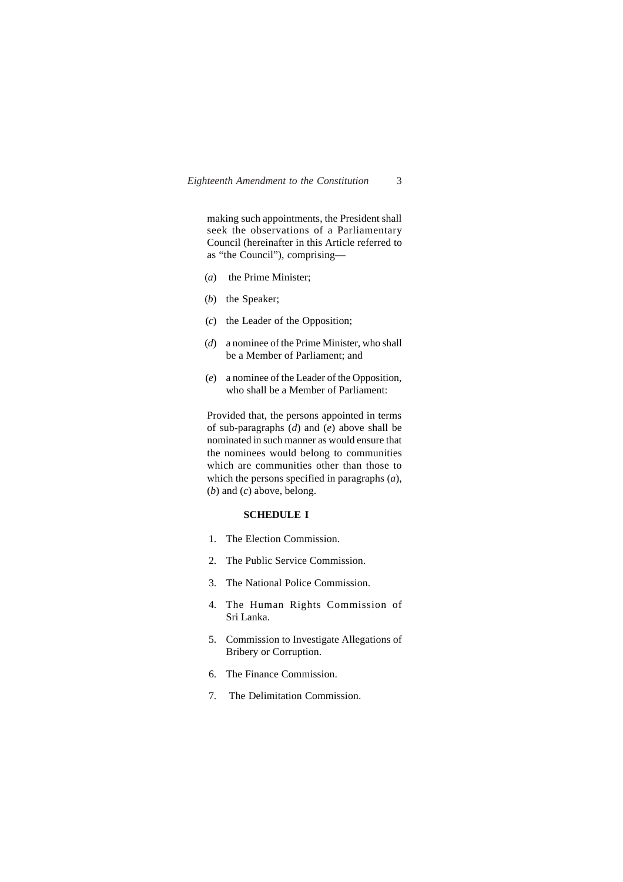making such appointments, the President shall seek the observations of a Parliamentary Council (hereinafter in this Article referred to as "the Council"), comprising—

- (*a*) the Prime Minister;
- (*b*) the Speaker;
- (*c*) the Leader of the Opposition;
- (*d*) a nominee of the Prime Minister, who shall be a Member of Parliament; and
- (*e*) a nominee of the Leader of the Opposition, who shall be a Member of Parliament:

Provided that, the persons appointed in terms of sub-paragraphs (*d*) and (*e*) above shall be nominated in such manner as would ensure that the nominees would belong to communities which are communities other than those to which the persons specified in paragraphs (*a*), (*b*) and (*c*) above, belong.

### **SCHEDULE I**

- 1. The Election Commission.
- 2. The Public Service Commission.
- 3. The National Police Commission.
- 4. The Human Rights Commission of Sri Lanka.
- 5. Commission to Investigate Allegations of Bribery or Corruption.
- 6. The Finance Commission.
- 7. The Delimitation Commission.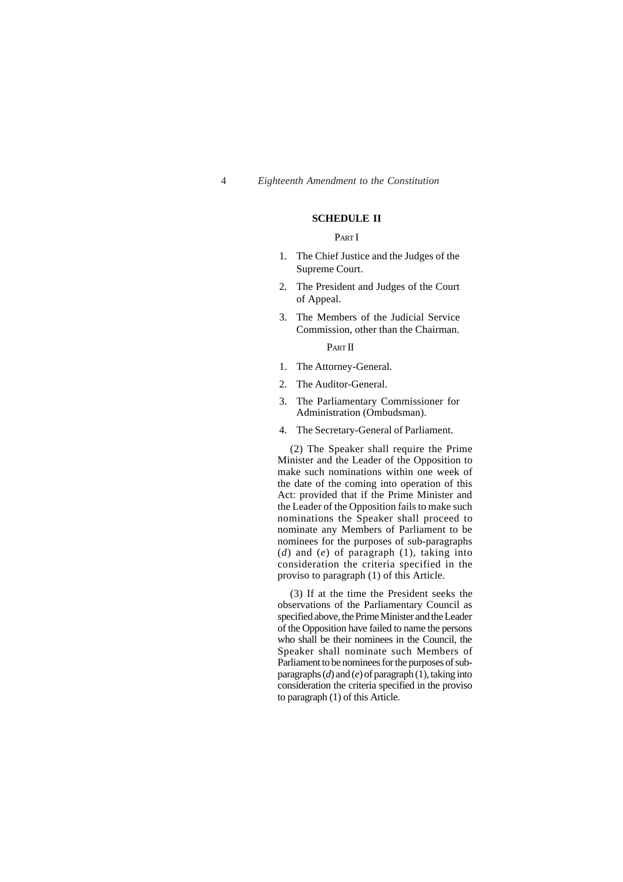### **SCHEDULE II**

#### PART I

- 1. The Chief Justice and the Judges of the Supreme Court.
- 2. The President and Judges of the Court of Appeal.
- 3. The Members of the Judicial Service Commission, other than the Chairman.

PART II

- 1. The Attorney-General.
- 2. The Auditor-General.
- 3. The Parliamentary Commissioner for Administration (Ombudsman).
- 4. The Secretary-General of Parliament.

(2) The Speaker shall require the Prime Minister and the Leader of the Opposition to make such nominations within one week of the date of the coming into operation of this Act: provided that if the Prime Minister and the Leader of the Opposition fails to make such nominations the Speaker shall proceed to nominate any Members of Parliament to be nominees for the purposes of sub-paragraphs (*d*) and (*e*) of paragraph (1), taking into consideration the criteria specified in the proviso to paragraph (1) of this Article.

(3) If at the time the President seeks the observations of the Parliamentary Council as specified above, the Prime Minister and the Leader of the Opposition have failed to name the persons who shall be their nominees in the Council, the Speaker shall nominate such Members of Parliament to be nominees for the purposes of subparagraphs (*d*) and (*e*) of paragraph (1), taking into consideration the criteria specified in the proviso to paragraph (1) of this Article.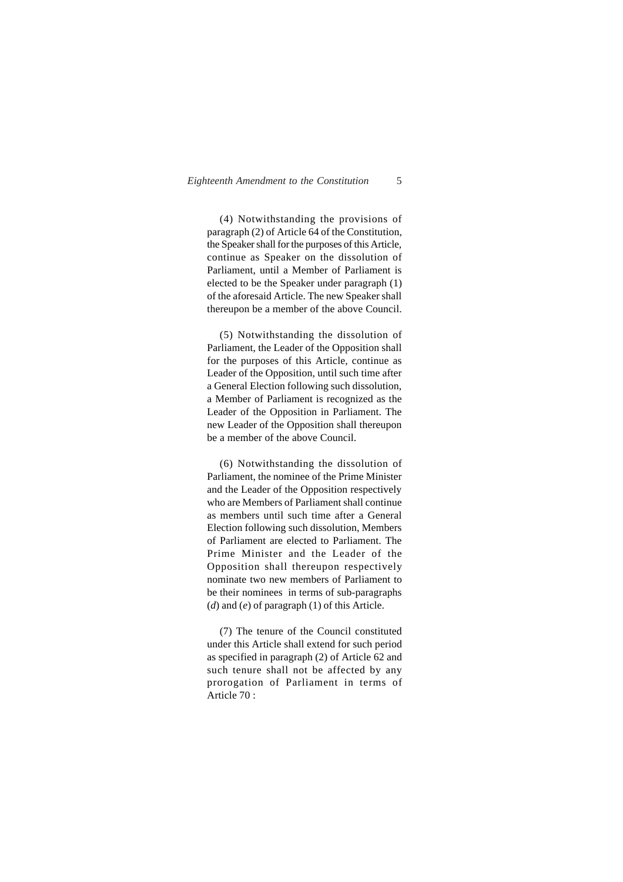(4) Notwithstanding the provisions of paragraph (2) of Article 64 of the Constitution, the Speaker shall for the purposes of this Article, continue as Speaker on the dissolution of Parliament, until a Member of Parliament is elected to be the Speaker under paragraph (1) of the aforesaid Article. The new Speaker shall thereupon be a member of the above Council.

(5) Notwithstanding the dissolution of Parliament, the Leader of the Opposition shall for the purposes of this Article, continue as Leader of the Opposition, until such time after a General Election following such dissolution, a Member of Parliament is recognized as the Leader of the Opposition in Parliament. The new Leader of the Opposition shall thereupon be a member of the above Council.

(6) Notwithstanding the dissolution of Parliament, the nominee of the Prime Minister and the Leader of the Opposition respectively who are Members of Parliament shall continue as members until such time after a General Election following such dissolution, Members of Parliament are elected to Parliament. The Prime Minister and the Leader of the Opposition shall thereupon respectively nominate two new members of Parliament to be their nominees in terms of sub-paragraphs (*d*) and (*e*) of paragraph (1) of this Article.

(7) The tenure of the Council constituted under this Article shall extend for such period as specified in paragraph (2) of Article 62 and such tenure shall not be affected by any prorogation of Parliament in terms of Article 70 :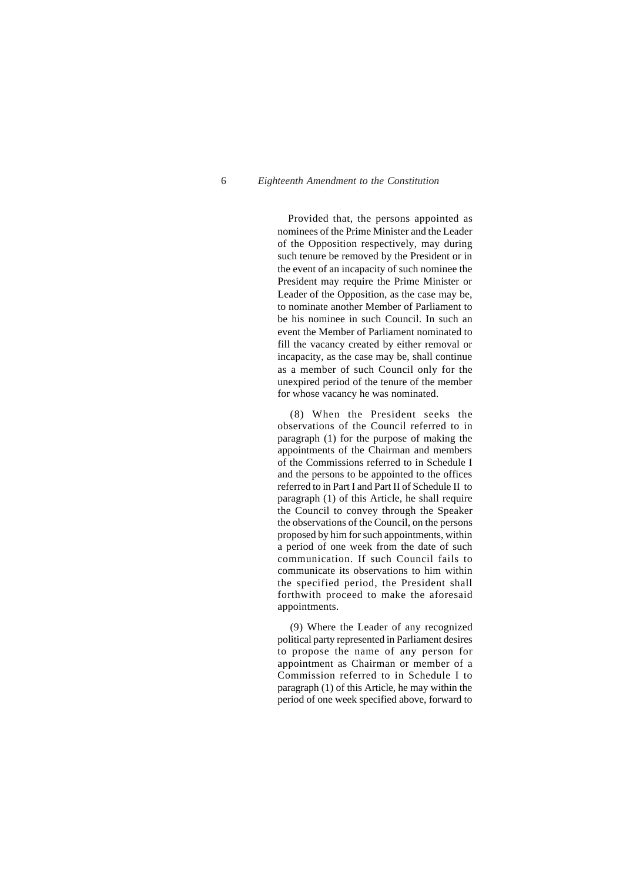Provided that, the persons appointed as nominees of the Prime Minister and the Leader of the Opposition respectively, may during such tenure be removed by the President or in the event of an incapacity of such nominee the President may require the Prime Minister or Leader of the Opposition, as the case may be, to nominate another Member of Parliament to be his nominee in such Council. In such an event the Member of Parliament nominated to fill the vacancy created by either removal or incapacity, as the case may be, shall continue as a member of such Council only for the unexpired period of the tenure of the member for whose vacancy he was nominated.

(8) When the President seeks the observations of the Council referred to in paragraph (1) for the purpose of making the appointments of the Chairman and members of the Commissions referred to in Schedule I and the persons to be appointed to the offices referred to in Part I and Part II of Schedule II to paragraph (1) of this Article, he shall require the Council to convey through the Speaker the observations of the Council, on the persons proposed by him for such appointments, within a period of one week from the date of such communication. If such Council fails to communicate its observations to him within the specified period, the President shall forthwith proceed to make the aforesaid appointments.

(9) Where the Leader of any recognized political party represented in Parliament desires to propose the name of any person for appointment as Chairman or member of a Commission referred to in Schedule I to paragraph (1) of this Article, he may within the period of one week specified above, forward to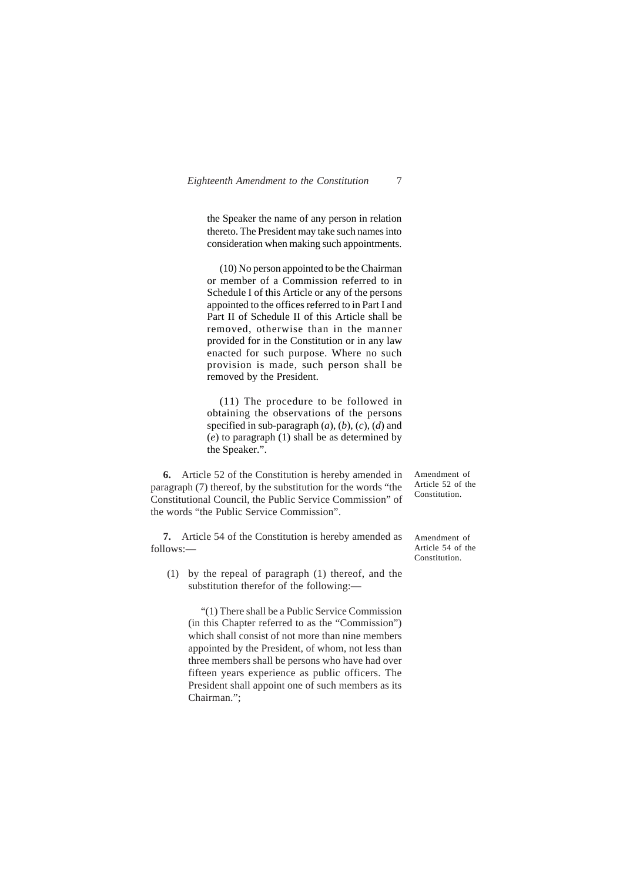the Speaker the name of any person in relation thereto. The President may take such names into consideration when making such appointments.

(10) No person appointed to be the Chairman or member of a Commission referred to in Schedule I of this Article or any of the persons appointed to the offices referred to in Part I and Part II of Schedule II of this Article shall be removed, otherwise than in the manner provided for in the Constitution or in any law enacted for such purpose. Where no such provision is made, such person shall be removed by the President.

(11) The procedure to be followed in obtaining the observations of the persons specified in sub-paragraph (*a*), (*b*), (*c*), (*d*) and (*e*) to paragraph (1) shall be as determined by the Speaker.".

**6.** Article 52 of the Constitution is hereby amended in paragraph (7) thereof, by the substitution for the words "the Constitutional Council, the Public Service Commission" of the words "the Public Service Commission".

**7.** Article 54 of the Constitution is hereby amended as follows:—

(1) by the repeal of paragraph (1) thereof, and the substitution therefor of the following:—

"(1) There shall be a Public Service Commission (in this Chapter referred to as the "Commission") which shall consist of not more than nine members appointed by the President, of whom, not less than three members shall be persons who have had over fifteen years experience as public officers. The President shall appoint one of such members as its Chairman.";

Amendment of Article 52 of the Constitution.

Amendment of Article 54 of the Constitution.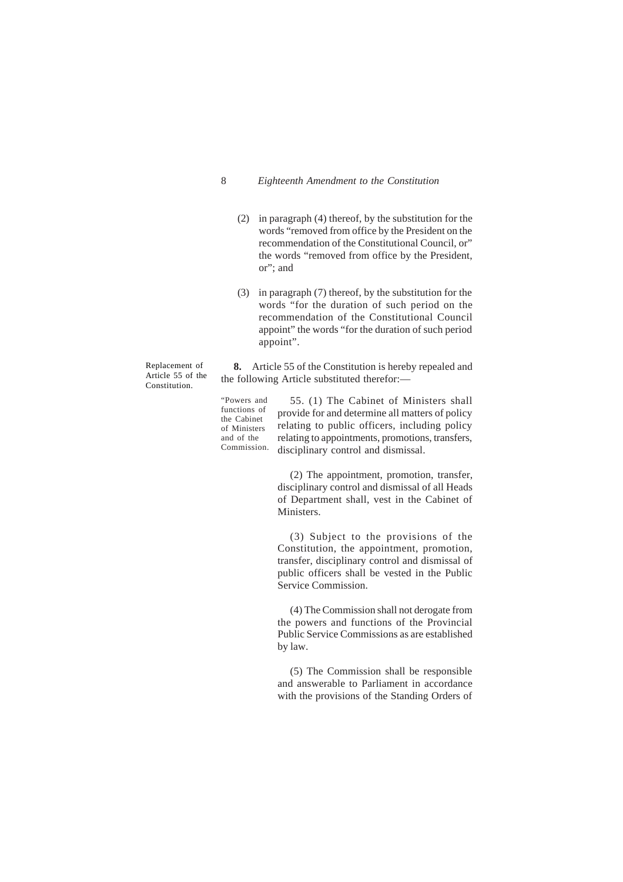- (2) in paragraph (4) thereof, by the substitution for the words "removed from office by the President on the recommendation of the Constitutional Council, or" the words "removed from office by the President, or"; and
- (3) in paragraph (7) thereof, by the substitution for the words "for the duration of such period on the recommendation of the Constitutional Council appoint" the words "for the duration of such period appoint".

Replacement of Article 55 of the Constitution.

**8.** Article 55 of the Constitution is hereby repealed and the following Article substituted therefor:—

"Powers and functions of the Cabinet of Ministers and of the Commission.

55. (1) The Cabinet of Ministers shall provide for and determine all matters of policy relating to public officers, including policy relating to appointments, promotions, transfers, disciplinary control and dismissal.

(2) The appointment, promotion, transfer, disciplinary control and dismissal of all Heads of Department shall, vest in the Cabinet of Ministers.

(3) Subject to the provisions of the Constitution, the appointment, promotion, transfer, disciplinary control and dismissal of public officers shall be vested in the Public Service Commission.

(4) The Commission shall not derogate from the powers and functions of the Provincial Public Service Commissions as are established by law.

(5) The Commission shall be responsible and answerable to Parliament in accordance with the provisions of the Standing Orders of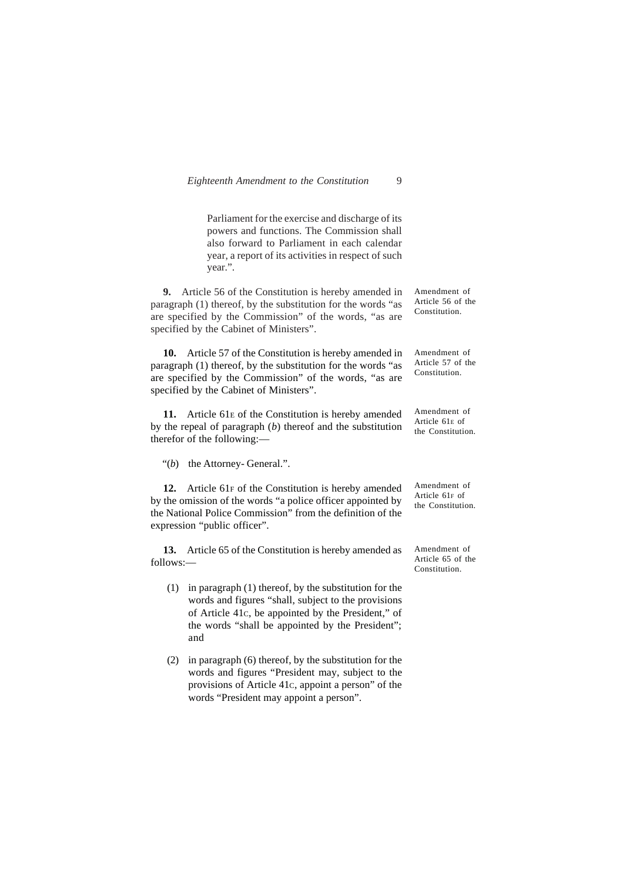| Eighteenth Amendment to the Constitution |  |  |  |
|------------------------------------------|--|--|--|
|------------------------------------------|--|--|--|

Parliament for the exercise and discharge of its powers and functions. The Commission shall also forward to Parliament in each calendar year, a report of its activities in respect of such year.".

**9.** Article 56 of the Constitution is hereby amended in paragraph (1) thereof, by the substitution for the words "as are specified by the Commission" of the words, "as are specified by the Cabinet of Ministers".

**10.** Article 57 of the Constitution is hereby amended in paragraph (1) thereof, by the substitution for the words "as are specified by the Commission" of the words, "as are specified by the Cabinet of Ministers".

**11.** Article 61E of the Constitution is hereby amended by the repeal of paragraph (*b*) thereof and the substitution therefor of the following:—

"(b) the Attorney- General.".

**12.** Article 61F of the Constitution is hereby amended by the omission of the words "a police officer appointed by the National Police Commission" from the definition of the expression "public officer".

**13.** Article 65 of the Constitution is hereby amended as follows:—

- (1) in paragraph (1) thereof, by the substitution for the words and figures "shall, subject to the provisions of Article 41C, be appointed by the President," of the words "shall be appointed by the President"; and
- (2) in paragraph (6) thereof, by the substitution for the words and figures "President may, subject to the provisions of Article 41C, appoint a person" of the words "President may appoint a person".

Amendment of Article 56 of the Constitution.

Amendment of Article 57 of the Constitution.

Amendment of Article 61E of the Constitution.

Amendment of Article 61F of the Constitution.

Amendment of Article 65 of the Constitution.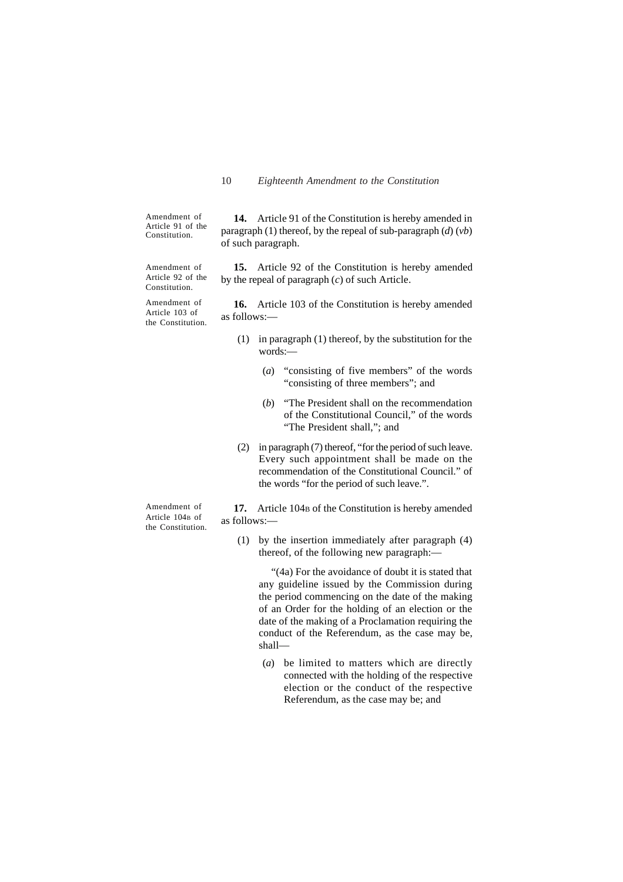by the repeal of paragraph (*c*) of such Article.

Amendment of Article 91 of the Constitution.

**14.** Article 91 of the Constitution is hereby amended in paragraph (1) thereof, by the repeal of sub-paragraph (*d*) (*vb*) of such paragraph.

**15.** Article 92 of the Constitution is hereby amended

**16.** Article 103 of the Constitution is hereby amended

Amendment of Article 92 of the Constitution.

Amendment of Article 103 of the Constitution.

as follows:—

(1) in paragraph (1) thereof, by the substitution for the words:—

- (*a*) "consisting of five members" of the words "consisting of three members"; and
- (*b*) "The President shall on the recommendation of the Constitutional Council," of the words "The President shall,"; and
- (2) in paragraph (7) thereof, "for the period of such leave. Every such appointment shall be made on the recommendation of the Constitutional Council." of the words "for the period of such leave.".

Amendment of Article 104B of the Constitution.

17. Article 104<sub>B</sub> of the Constitution is hereby amended as follows:—

(1) by the insertion immediately after paragraph (4) thereof, of the following new paragraph:—

"(4a) For the avoidance of doubt it is stated that any guideline issued by the Commission during the period commencing on the date of the making of an Order for the holding of an election or the date of the making of a Proclamation requiring the conduct of the Referendum, as the case may be, shall—

(*a*) be limited to matters which are directly connected with the holding of the respective election or the conduct of the respective Referendum, as the case may be; and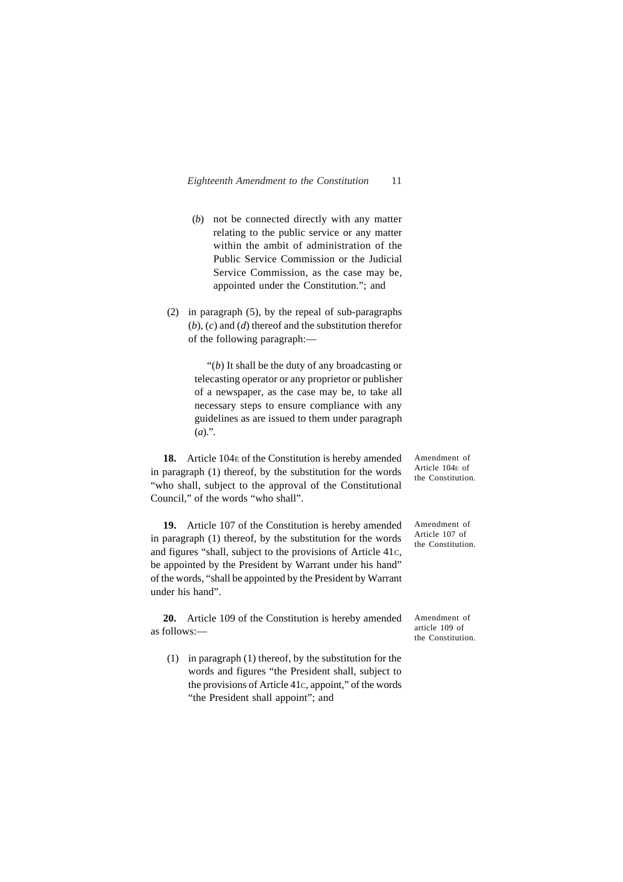- (*b*) not be connected directly with any matter relating to the public service or any matter within the ambit of administration of the Public Service Commission or the Judicial Service Commission, as the case may be, appointed under the Constitution."; and
- (2) in paragraph (5), by the repeal of sub-paragraphs (*b*), (*c*) and (*d*) thereof and the substitution therefor of the following paragraph:—

"(*b*) It shall be the duty of any broadcasting or telecasting operator or any proprietor or publisher of a newspaper, as the case may be, to take all necessary steps to ensure compliance with any guidelines as are issued to them under paragraph  $(a)$ .".

18. Article 104<sub>E</sub> of the Constitution is hereby amended in paragraph (1) thereof, by the substitution for the words "who shall, subject to the approval of the Constitutional Council," of the words "who shall".

**19.** Article 107 of the Constitution is hereby amended in paragraph (1) thereof, by the substitution for the words and figures "shall, subject to the provisions of Article 41C, be appointed by the President by Warrant under his hand" of the words, "shall be appointed by the President by Warrant under his hand".

**20.** Article 109 of the Constitution is hereby amended as follows:—

(1) in paragraph (1) thereof, by the substitution for the words and figures "the President shall, subject to the provisions of Article 41C, appoint," of the words "the President shall appoint"; and

Amendment of Article 104E of the Constitution.

Amendment of Article 107 of the Constitution.

Amendment of article 109 of the Constitution.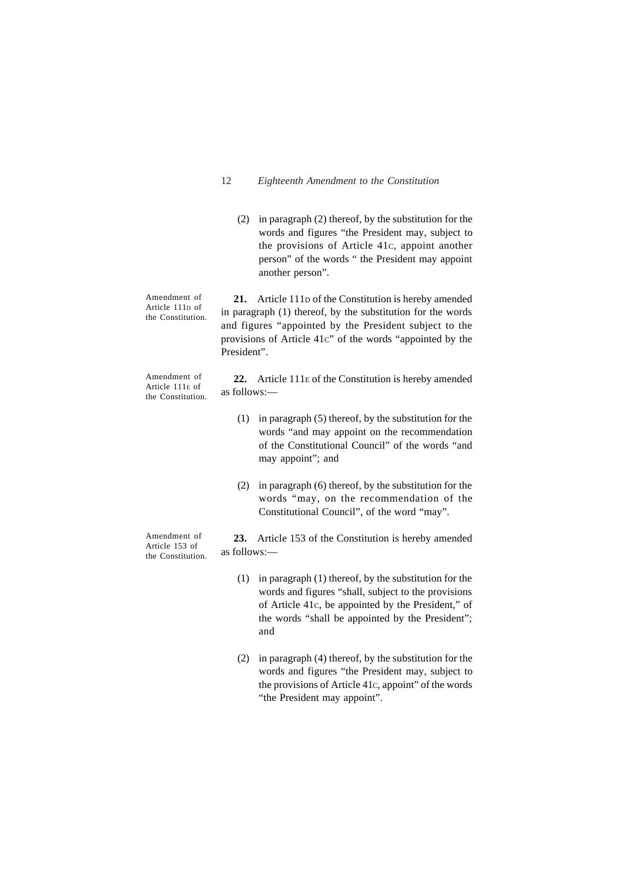(2) in paragraph (2) thereof, by the substitution for the words and figures "the President may, subject to the provisions of Article 41C, appoint another person" of the words " the President may appoint another person".

**21.** Article 111D of the Constitution is hereby amended in paragraph (1) thereof, by the substitution for the words and figures "appointed by the President subject to the provisions of Article 41C" of the words "appointed by the President". **22.** Article 111E of the Constitution is hereby amended Amendment of Article 111D of the Constitution. Amendment of

Article 111E of the Constitution. as follows:—

- (1) in paragraph (5) thereof, by the substitution for the words "and may appoint on the recommendation of the Constitutional Council" of the words "and may appoint"; and
- (2) in paragraph (6) thereof, by the substitution for the words "may, on the recommendation of the Constitutional Council", of the word "may".

**23.** Article 153 of the Constitution is hereby amended as follows:—

- (1) in paragraph (1) thereof, by the substitution for the words and figures "shall, subject to the provisions of Article 41C, be appointed by the President," of the words "shall be appointed by the President"; and
- (2) in paragraph (4) thereof, by the substitution for the words and figures "the President may, subject to the provisions of Article 41C, appoint" of the words "the President may appoint".

Amendment of Article 153 of the Constitution.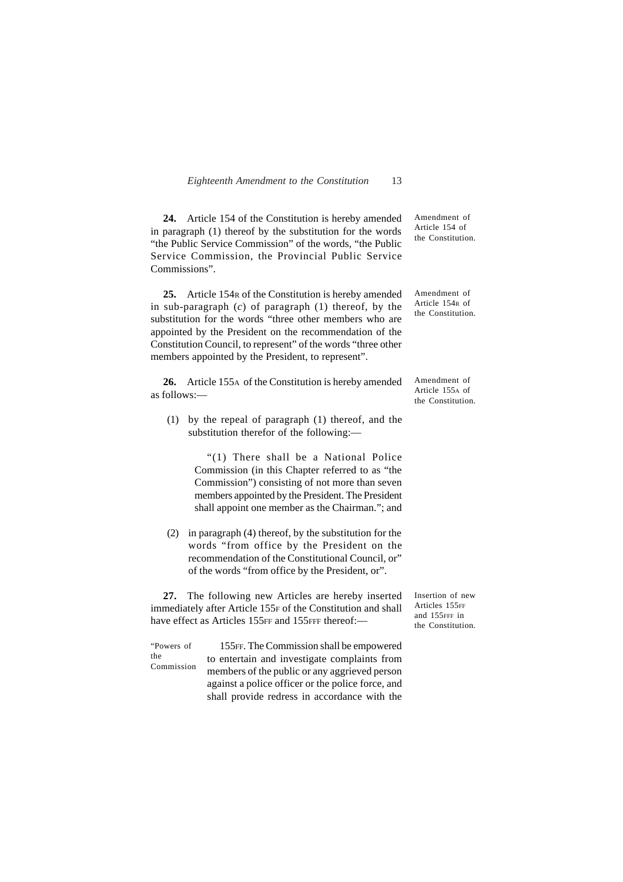| Eighteenth Amendment to the Constitution |  |  | 13 |
|------------------------------------------|--|--|----|
|------------------------------------------|--|--|----|

**24.** Article 154 of the Constitution is hereby amended in paragraph (1) thereof by the substitution for the words "the Public Service Commission" of the words, "the Public Service Commission, the Provincial Public Service Commissions".

**25.** Article 154R of the Constitution is hereby amended in sub-paragraph (*c*) of paragraph (1) thereof, by the substitution for the words "three other members who are appointed by the President on the recommendation of the Constitution Council, to represent" of the words "three other members appointed by the President, to represent".

**26.** Article 155A of the Constitution is hereby amended as follows:—

(1) by the repeal of paragraph (1) thereof, and the substitution therefor of the following:—

> "(1) There shall be a National Police Commission (in this Chapter referred to as "the Commission") consisting of not more than seven members appointed by the President. The President shall appoint one member as the Chairman."; and

(2) in paragraph (4) thereof, by the substitution for the words "from office by the President on the recommendation of the Constitutional Council, or" of the words "from office by the President, or".

**27.** The following new Articles are hereby inserted immediately after Article 155F of the Constitution and shall have effect as Articles 155FF and 155FFF thereof:-

Insertion of new Articles 155FF and 155FFF in the Constitution.

155FF. The Commission shall be empowered to entertain and investigate complaints from members of the public or any aggrieved person against a police officer or the police force, and shall provide redress in accordance with the "Powers of the Commission

Amendment of Article 154 of the Constitution.

Amendment of Article 154R of the Constitution.

Amendment of Article 155A of the Constitution.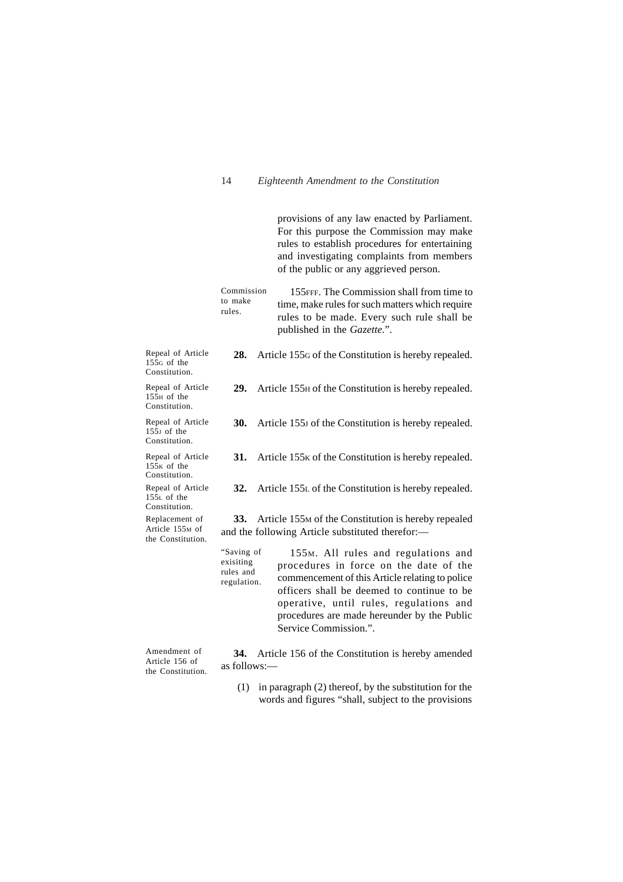provisions of any law enacted by Parliament. For this purpose the Commission may make rules to establish procedures for entertaining and investigating complaints from members of the public or any aggrieved person.

155FFF. The Commission shall from time to time, make rules for such matters which require rules to be made. Every such rule shall be published in the *Gazette.*". Commission to make rules.

**28.** Article 155G of the Constitution is hereby repealed.

**29.** Article 155H of the Constitution is hereby repealed.

**30.** Article 155J of the Constitution is hereby repealed.

Repeal of Article  $155<sub>G</sub>$  of the Constitution.

Repeal of Article  $15\overline{5}$ H of the Constitution.

Repeal of Article  $155J$  of the Constitution.

**31.** Article 155<sub>K</sub> of the Constitution is hereby repealed.

Repeal of Article Repeal of Article  $15\bar{5}$ <sub>K</sub> of the Constitution.

**32.** Article 155L of the Constitution is hereby repealed.

 $15\overline{5}$ L of the Constitution. Replacement of

Article 155M of the Constitution.

**33.** Article 155M of the Constitution is hereby repealed and the following Article substituted therefor:—

155M. All rules and regulations and procedures in force on the date of the commencement of this Article relating to police officers shall be deemed to continue to be operative, until rules, regulations and procedures are made hereunder by the Public Service Commission.". "Saving of exisiting rules and regulation.

Amendment of Article 156 of the Constitution.

**34.** Article 156 of the Constitution is hereby amended as follows:—

(1) in paragraph (2) thereof, by the substitution for the words and figures "shall, subject to the provisions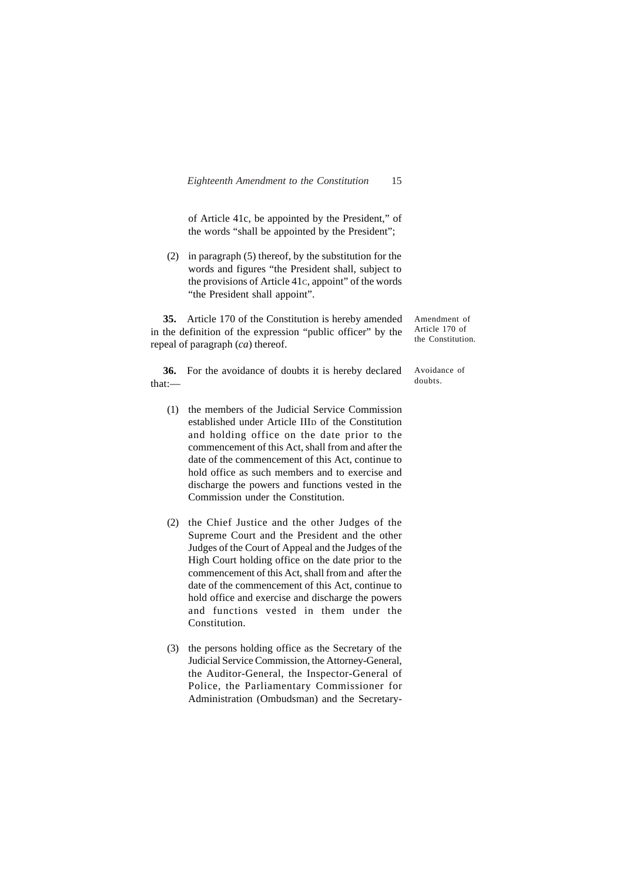of Article 41c, be appointed by the President," of the words "shall be appointed by the President";

(2) in paragraph (5) thereof, by the substitution for the words and figures "the President shall, subject to the provisions of Article 41C, appoint" of the words "the President shall appoint".

**35.** Article 170 of the Constitution is hereby amended in the definition of the expression "public officer" by the repeal of paragraph (*ca*) thereof.

Amendment of Article 170 of the Constitution.

**36.** For the avoidance of doubts it is hereby declared that:—

- (1) the members of the Judicial Service Commission established under Article IIID of the Constitution and holding office on the date prior to the commencement of this Act, shall from and after the date of the commencement of this Act, continue to hold office as such members and to exercise and discharge the powers and functions vested in the Commission under the Constitution.
- (2) the Chief Justice and the other Judges of the Supreme Court and the President and the other Judges of the Court of Appeal and the Judges of the High Court holding office on the date prior to the commencement of this Act, shall from and after the date of the commencement of this Act, continue to hold office and exercise and discharge the powers and functions vested in them under the Constitution.
- (3) the persons holding office as the Secretary of the Judicial Service Commission, the Attorney-General, the Auditor-General, the Inspector-General of Police, the Parliamentary Commissioner for Administration (Ombudsman) and the Secretary-

Avoidance of doubts.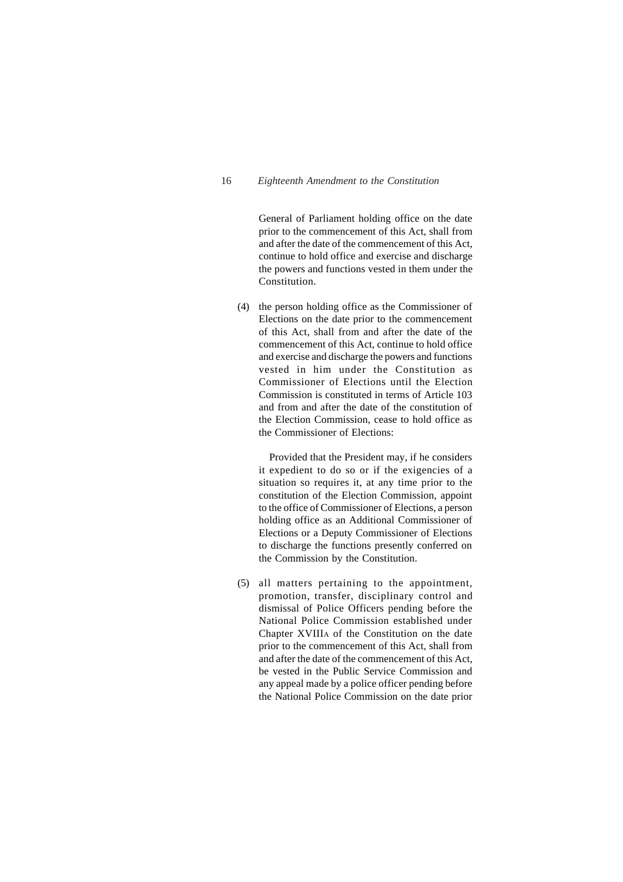General of Parliament holding office on the date prior to the commencement of this Act, shall from and after the date of the commencement of this Act, continue to hold office and exercise and discharge the powers and functions vested in them under the Constitution.

(4) the person holding office as the Commissioner of Elections on the date prior to the commencement of this Act, shall from and after the date of the commencement of this Act, continue to hold office and exercise and discharge the powers and functions vested in him under the Constitution as Commissioner of Elections until the Election Commission is constituted in terms of Article 103 and from and after the date of the constitution of the Election Commission, cease to hold office as the Commissioner of Elections:

Provided that the President may, if he considers it expedient to do so or if the exigencies of a situation so requires it, at any time prior to the constitution of the Election Commission, appoint to the office of Commissioner of Elections, a person holding office as an Additional Commissioner of Elections or a Deputy Commissioner of Elections to discharge the functions presently conferred on the Commission by the Constitution.

(5) all matters pertaining to the appointment, promotion, transfer, disciplinary control and dismissal of Police Officers pending before the National Police Commission established under Chapter XVIIIA of the Constitution on the date prior to the commencement of this Act, shall from and after the date of the commencement of this Act, be vested in the Public Service Commission and any appeal made by a police officer pending before the National Police Commission on the date prior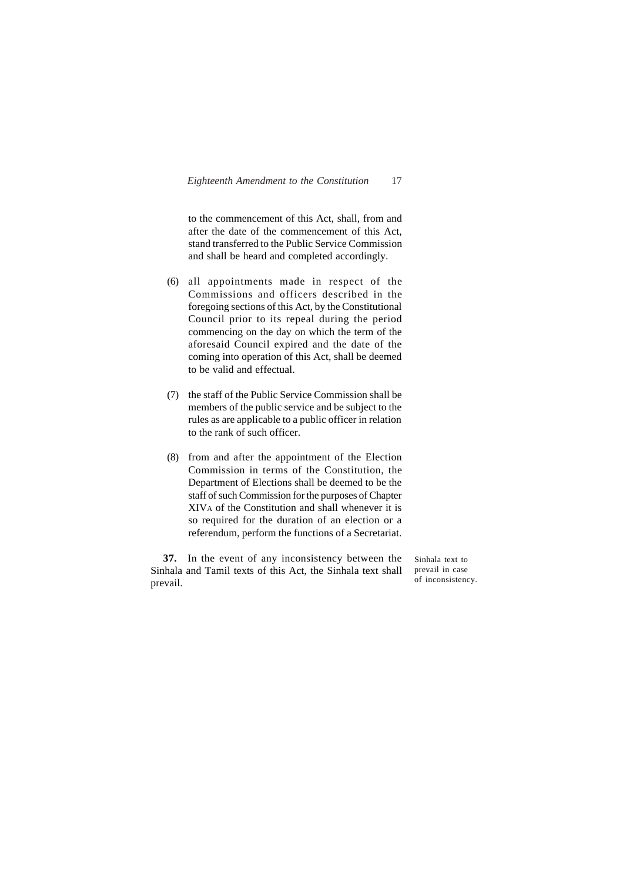to the commencement of this Act, shall, from and after the date of the commencement of this Act, stand transferred to the Public Service Commission and shall be heard and completed accordingly.

- (6) all appointments made in respect of the Commissions and officers described in the foregoing sections of this Act, by the Constitutional Council prior to its repeal during the period commencing on the day on which the term of the aforesaid Council expired and the date of the coming into operation of this Act, shall be deemed to be valid and effectual.
- (7) the staff of the Public Service Commission shall be members of the public service and be subject to the rules as are applicable to a public officer in relation to the rank of such officer.
- (8) from and after the appointment of the Election Commission in terms of the Constitution, the Department of Elections shall be deemed to be the staff of such Commission for the purposes of Chapter XIVA of the Constitution and shall whenever it is so required for the duration of an election or a referendum, perform the functions of a Secretariat.

**37.** In the event of any inconsistency between the Sinhala and Tamil texts of this Act, the Sinhala text shall prevail.

Sinhala text to prevail in case of inconsistency.